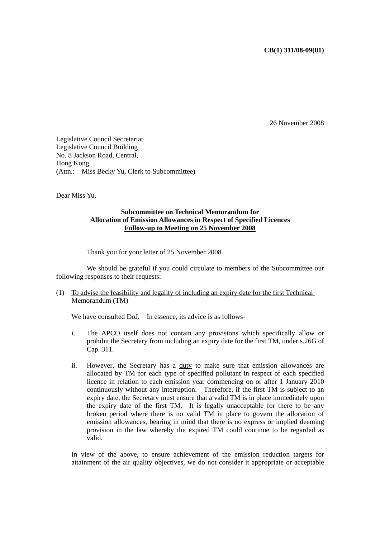## **CB(1) 311/08-09(01)**

26 November 2008

Legislative Council Secretariat Legislative Council Building No. 8 Jackson Road, Central, Hong Kong (Attn.: Miss Becky Yu, Clerk to Subcommittee)

Dear Miss Yu,

## **Subcommittee on Technical Memorandum for Allocation of Emission Allowances in Respect of Specified Licences Follow-up to Meeting on 25 November 2008**

Thank you for your letter of 25 November 2008.

 We should be grateful if you could circulate to members of the Subcommittee our following responses to their requests:

## (1) To advise the feasibility and legality of including an expiry date for the first Technical Memorandum (TM)

We have consulted DoJ. In essence, its advice is as follows-

- i. The APCO itself does not contain any provisions which specifically allow or prohibit the Secretary from including an expiry date for the first TM, under s.26G of Cap. 311.
- ii. However, the Secretary has a duty to make sure that emission allowances are allocated by TM for each type of specified pollutant in respect of each specified licence in relation to each emission year commencing on or after 1 January 2010 continuously without any interruption. Therefore, if the first TM is subject to an expiry date, the Secretary must ensure that a valid TM is in place immediately upon the expiry date of the first TM. It is legally unacceptable for there to be any broken period where there is no valid TM in place to govern the allocation of emission allowances, bearing in mind that there is no express or implied deeming provision in the law whereby the expired TM could continue to be regarded as valid.

In view of the above, to ensure achievement of the emission reduction targets for attainment of the air quality objectives, we do not consider it appropriate or acceptable